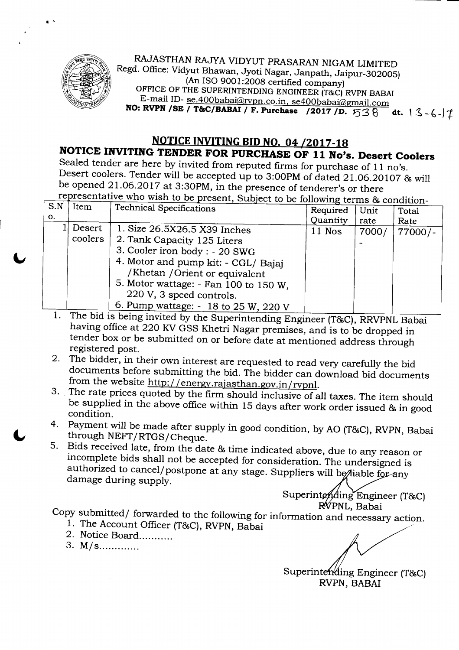

.'

RAJASTHAN RAJYA VIDYUT PRASARAN NIGAM LIMITED Regd. Office: Vidyut Bhawan, Jyoti Nagar, Janpath, Jaipur-302005) (An ISO 9001:2008 certified company) OFFICE OF THE SUPERINTENDING ENGINEER (T&C) RVPN BABAI E-mail ID-se.400babai@rvpn.co.in.se400babai@gmail.com **NO: RVPN** *ISE <sup>1</sup>* **T&C/BABAI** *<sup>1</sup>* **F. Purchase** *12017/D.* '538 **dt.' <sup>~</sup>** *-b.-Ii*

## **NOTICE INVITING BID NO. 04** *12017-18* **NOTICE INVITING TENDER FOR PURCHASE OF 11 No's. Desert Coolers**

Sealed tender are here by invited from reputed firms for purchase of 11 no's. Desert coolers. Tender will be accepted up to 3:00PM of dated 21.06.20107 & will be opened 21.06.2017 at 3:30PM, in the presence of tenderer's or there  $\frac{1}{2}$  representative who wish to be present. Subject to

| S.N | <u>respect to the wish to be present</u> , subject to be following terms & condition- |                                         |          |       |           |  |  |  |
|-----|---------------------------------------------------------------------------------------|-----------------------------------------|----------|-------|-----------|--|--|--|
|     | Item                                                                                  | <b>Technical Specifications</b>         | Required | Unit  | Total     |  |  |  |
| О.  |                                                                                       |                                         | Quantity | rate  | Rate      |  |  |  |
|     | Desert                                                                                | 1. Size 26.5X26.5 X39 Inches            | 11 Nos   | 7000/ | $77000/-$ |  |  |  |
|     | coolers                                                                               | 2. Tank Capacity 125 Liters             |          |       |           |  |  |  |
|     |                                                                                       | 3. Cooler iron body : - 20 SWG          |          |       |           |  |  |  |
|     |                                                                                       | 4. Motor and pump kit: - CGL/ Bajaj     |          |       |           |  |  |  |
|     |                                                                                       | /Khetan /Orient or equivalent           |          |       |           |  |  |  |
|     |                                                                                       | 5. Motor wattage: $-$ Fan 100 to 150 W, |          |       |           |  |  |  |
|     |                                                                                       | 220 V, 3 speed controls.                |          |       |           |  |  |  |
|     |                                                                                       | 6. Pump wattage: $-18$ to 25 W, 220 V   |          |       |           |  |  |  |

- 1. The bid is being invited by the Superintending Engineer (T&C), RRVPNL Babai having office at 220 KV GSS Khetri Nagar premises, and is to be dropped in tender box or be submitted on or before date at mentioned address through registered post.
- 2. The bidder, in their own interest are requested to read very carefully the bid documents before submitting the bid. The bidder can download bid documents from the website http://energy.rajasthan.gov.in/rvpnl.
- 3. The rate prices quoted by the firm should inclusive of all taxes. The item should be supplied in the above office within 15 days after work order issued & in good condition.
- 4. Payment will be made after supply in good condition, by AO (T&C), RVPN, Babai through NEFT/RTGS/Cheque.
- S. Bids received late, from the date & time indicated above, due to any reason or incomplete bids shall not be accepted for consideration. The undersigned is authorized to cancel/postpone at any stage. Suppliers will be hable for any damage during supply.

Superintending Engineer (T&C) R<sup>W</sup>PNL, Babai

Copy submitted/ forwarded to the following for information and necessary action.

- 1. The Account Officer (T&C), RVPN, Babai
- 2. Notice Board...........
- 3. M/s.............

Superintending Engineer (T&C) RVPN, BABAI